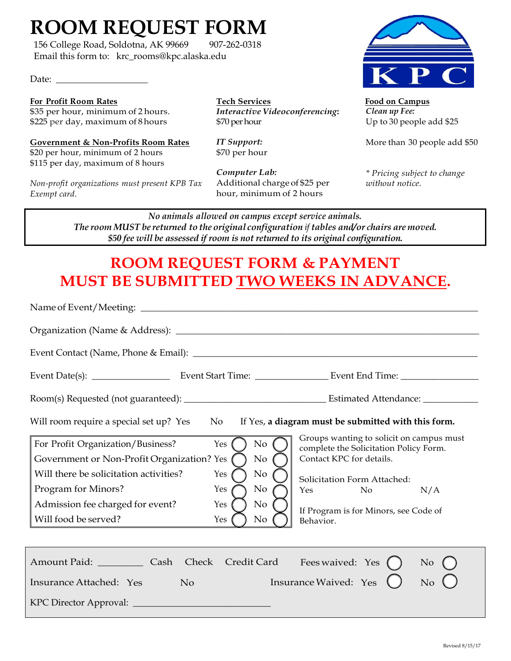# **ROOM REQUEST FORM**

156 College Road, Soldotna, AK 99669 907-262-0318 Email this form to: krc\_rooms@kpc.alaska.edu

Date:

# **For Profit Room Rates**

\$35 per hour, minimum of 2 hours. \$225 per day, maximum of 8hours

**Government & Non-Profits Room Rates** \$20 per hour, minimum of 2 hours \$115 per day, maximum of 8 hours

*Non-profit organizations must present KPB Tax Exempt card*.

**Tech Services** *Interactive Videoconferencing***:** \$70 per hour

*IT Support:* \$70 per hour

*Computer Lab:* Additional charge of \$25 per hour, minimum of 2 hours



 **Food on Campus** *Clean up Fee:*  Up to 30 people add \$25

More than 30 people add \$50

*\* Pricing subject to change without notice.*

*No animals allowed on campus except service animals. The room MUST be returned to the original configuration if tables and/or chairs are moved. \$50 fee will be assessed if room is not returned to its original configuration.*

# **ROOM REQUEST FORM & PAYMENT MUST BE SUBMITTED TWO WEEKS IN ADVANCE.**

| If Yes, a diagram must be submitted with this form.<br>Will room require a special set up? Yes<br>No.                                                                                                                                                                                                             |                                                                                                                                                                                                                                            |  |
|-------------------------------------------------------------------------------------------------------------------------------------------------------------------------------------------------------------------------------------------------------------------------------------------------------------------|--------------------------------------------------------------------------------------------------------------------------------------------------------------------------------------------------------------------------------------------|--|
| $\rm No$<br>For Profit Organization/Business?<br>Yes<br>Government or Non-Profit Organization? Yes<br>$\rm No$<br>Will there be solicitation activities?<br>$\rm No$<br>Yes<br>Program for Minors?<br>No<br>Yes<br>Admission fee charged for event?<br>$\rm No$<br>Yes<br>Will food be served?<br>$\rm No$<br>Yes | Groups wanting to solicit on campus must<br>complete the Solicitation Policy Form.<br>Contact KPC for details.<br>Solicitation Form Attached:<br>N <sub>o</sub><br>N/A<br><b>Yes</b><br>If Program is for Minors, see Code of<br>Behavior. |  |
| Amount Paid: Cash Check Credit Card<br>Insurance Attached: Yes<br>N <sub>o</sub>                                                                                                                                                                                                                                  | Fees waived: Yes $\qquad)$<br>No<br>Insurance Waived: Yes<br>No                                                                                                                                                                            |  |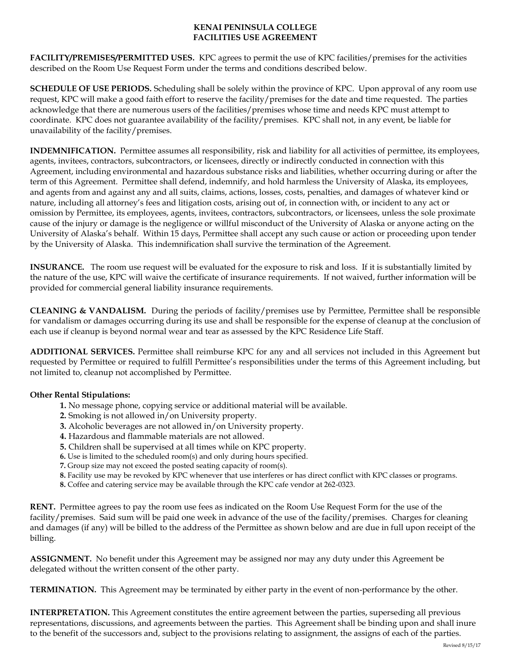## **KENAI PENINSULA COLLEGE FACILITIES USE AGREEMENT**

**FACILITY/PREMISES/PERMITTED USES.** KPC agrees to permit the use of KPC facilities/premises for the activities described on the Room Use Request Form under the terms and conditions described below.

**SCHEDULE OF USE PERIODS.** Scheduling shall be solely within the province of KPC. Upon approval of any room use request, KPC will make a good faith effort to reserve the facility/premises for the date and time requested. The parties acknowledge that there are numerous users of the facilities/premises whose time and needs KPC must attempt to coordinate. KPC does not guarantee availability of the facility/premises. KPC shall not, in any event, be liable for unavailability of the facility/premises.

**INDEMNIFICATION.** Permittee assumes all responsibility, risk and liability for all activities of permittee, its employees, agents, invitees, contractors, subcontractors, or licensees, directly or indirectly conducted in connection with this Agreement, including environmental and hazardous substance risks and liabilities, whether occurring during or after the term of this Agreement. Permittee shall defend, indemnify, and hold harmless the University of Alaska, its employees, and agents from and against any and all suits, claims, actions, losses, costs, penalties, and damages of whatever kind or nature, including all attorney's fees and litigation costs, arising out of, in connection with, or incident to any act or omission by Permittee, its employees, agents, invitees, contractors, subcontractors, or licensees, unless the sole proximate cause of the injury or damage is the negligence or willful misconduct of the University of Alaska or anyone acting on the University of Alaska's behalf. Within 15 days, Permittee shall accept any such cause or action or proceeding upon tender by the University of Alaska. This indemnification shall survive the termination of the Agreement.

**INSURANCE.** The room use request will be evaluated for the exposure to risk and loss. If it is substantially limited by the nature of the use, KPC will waive the certificate of insurance requirements. If not waived, further information will be provided for commercial general liability insurance requirements.

**CLEANING & VANDALISM.** During the periods of facility/premises use by Permittee, Permittee shall be responsible for vandalism or damages occurring during its use and shall be responsible for the expense of cleanup at the conclusion of each use if cleanup is beyond normal wear and tear as assessed by the KPC Residence Life Staff.

**ADDITIONAL SERVICES.** Permittee shall reimburse KPC for any and all services not included in this Agreement but requested by Permittee or required to fulfill Permittee's responsibilities under the terms of this Agreement including, but not limited to, cleanup not accomplished by Permittee.

# **Other Rental Stipulations:**

- **1.** No message phone, copying service or additional material will be available.
- **2.** Smoking is not allowed in/on University property.
- **3.** Alcoholic beverages are not allowed in/on University property.
- **4.** Hazardous and flammable materials are not allowed.
- **5.** Children shall be supervised at all times while on KPC property.
- **6.** Use is limited to the scheduled room(s) and only during hours specified.
- **7.** Group size may not exceed the posted seating capacity of room(s).
- **8.** Facility use may be revoked by KPC whenever that use interferes or has direct conflict with KPC classes or programs.
- **8.** Coffee and catering service may be available through the KPC cafe vendor at 262-0323.

**RENT.** Permittee agrees to pay the room use fees as indicated on the Room Use Request Form for the use of the facility/premises. Said sum will be paid one week in advance of the use of the facility/premises. Charges for cleaning and damages (if any) will be billed to the address of the Permittee as shown below and are due in full upon receipt of the billing.

**ASSIGNMENT.** No benefit under this Agreement may be assigned nor may any duty under this Agreement be delegated without the written consent of the other party.

**TERMINATION.** This Agreement may be terminated by either party in the event of non-performance by the other.

**INTERPRETATION.** This Agreement constitutes the entire agreement between the parties, superseding all previous representations, discussions, and agreements between the parties. This Agreement shall be binding upon and shall inure to the benefit of the successors and, subject to the provisions relating to assignment, the assigns of each of the parties.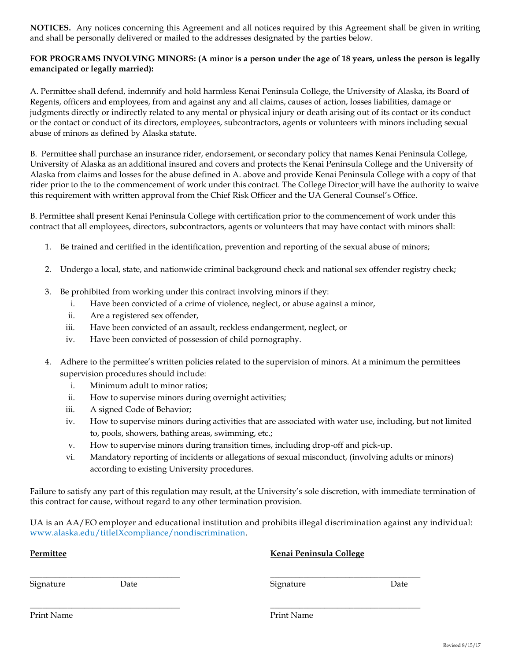**NOTICES.** Any notices concerning this Agreement and all notices required by this Agreement shall be given in writing and shall be personally delivered or mailed to the addresses designated by the parties below.

## **FOR PROGRAMS INVOLVING MINORS: (A minor is a person under the age of 18 years, unless the person is legally emancipated or legally married):**

A. Permittee shall defend, indemnify and hold harmless Kenai Peninsula College, the University of Alaska, its Board of Regents, officers and employees, from and against any and all claims, causes of action, losses liabilities, damage or judgments directly or indirectly related to any mental or physical injury or death arising out of its contact or its conduct or the contact or conduct of its directors, employees, subcontractors, agents or volunteers with minors including sexual abuse of minors as defined by Alaska statute.

B. Permittee shall purchase an insurance rider, endorsement, or secondary policy that names Kenai Peninsula College, University of Alaska as an additional insured and covers and protects the Kenai Peninsula College and the University of Alaska from claims and losses for the abuse defined in A. above and provide Kenai Peninsula College with a copy of that rider prior to the to the commencement of work under this contract. The College Director will have the authority to waive this requirement with written approval from the Chief Risk Officer and the UA General Counsel's Office.

B. Permittee shall present Kenai Peninsula College with certification prior to the commencement of work under this contract that all employees, directors, subcontractors, agents or volunteers that may have contact with minors shall:

- 1. Be trained and certified in the identification, prevention and reporting of the sexual abuse of minors;
- 2. Undergo a local, state, and nationwide criminal background check and national sex offender registry check;
- 3. Be prohibited from working under this contract involving minors if they:
	- i. Have been convicted of a crime of violence, neglect, or abuse against a minor,
	- ii. Are a registered sex offender,
	- iii. Have been convicted of an assault, reckless endangerment, neglect, or
	- iv. Have been convicted of possession of child pornography.
- 4. Adhere to the permittee's written policies related to the supervision of minors. At a minimum the permittees supervision procedures should include:
	- i. Minimum adult to minor ratios;
	- ii. How to supervise minors during overnight activities;
	- iii. A signed Code of Behavior;
	- iv. How to supervise minors during activities that are associated with water use, including, but not limited to, pools, showers, bathing areas, swimming, etc.;
	- v. How to supervise minors during transition times, including drop-off and pick-up.

 $\overline{\phantom{a}}$  , and the contribution of the contribution of the contribution of the contribution of the contribution of the contribution of the contribution of the contribution of the contribution of the contribution of the

 $\overline{\phantom{a}}$  , and the contribution of the contribution of the contribution of the contribution of the contribution of the contribution of the contribution of the contribution of the contribution of the contribution of the

vi. Mandatory reporting of incidents or allegations of sexual misconduct, (involving adults or minors) according to existing University procedures.

Failure to satisfy any part of this regulation may result, at the University's sole discretion, with immediate termination of this contract for cause, without regard to any other termination provision.

UA is an AA/EO employer and educational institution and prohibits illegal discrimination against any individual: www.alaska.edu/titleIXcompliance/nondiscrimination.

#### **Permittee Kenai Peninsula College**

Signature Date Signature Date